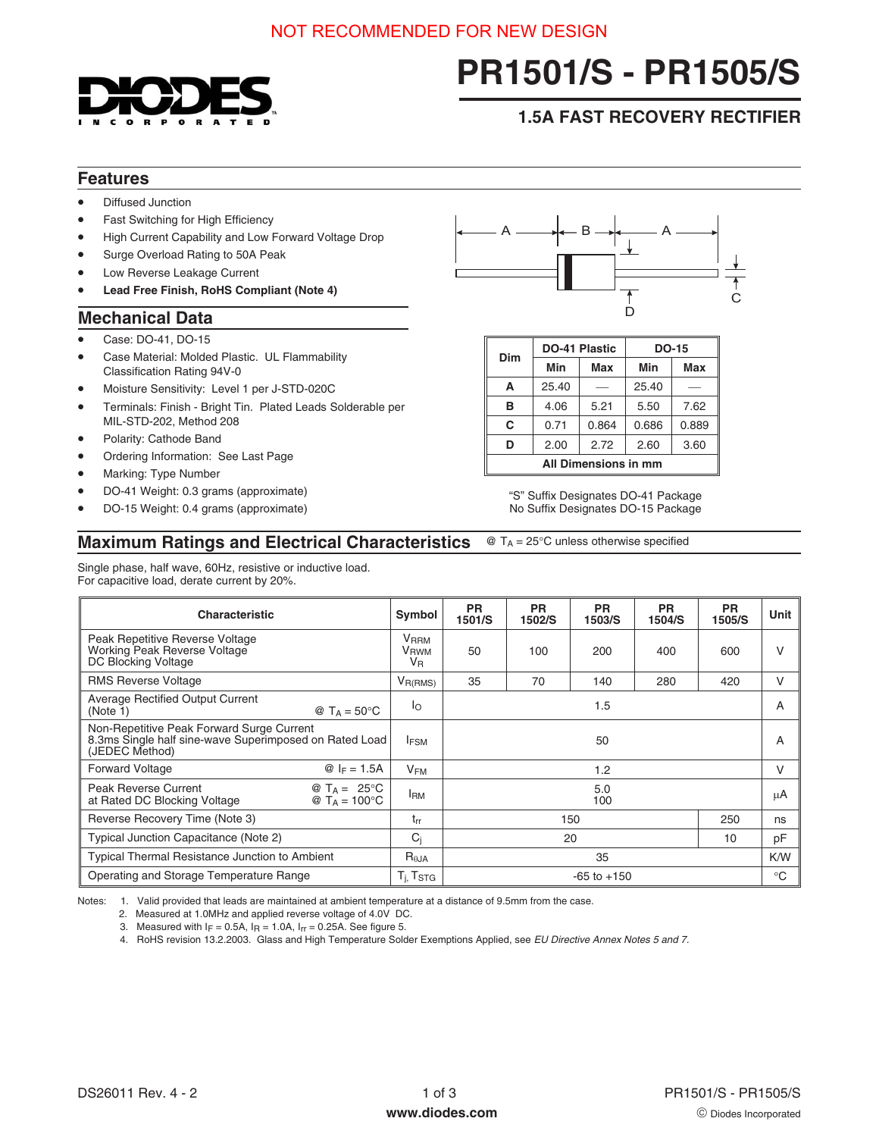

# **PR1501/S - PR1505/S**

## **1.5A FAST RECOVERY RECTIFIER**

## **Features**

- Diffused Junction
- Fast Switching for High Efficiency
- High Current Capability and Low Forward Voltage Drop
- Surge Overload Rating to 50A Peak
- Low Reverse Leakage Current
- **Lead Free Finish, RoHS Compliant (Note 4)**

## **Mechanical Data**

- Case: DO-41, DO-15
- Case Material: Molded Plastic. UL Flammability Classification Rating 94V-0
- Moisture Sensitivity: Level 1 per J-STD-020C
- Terminals: Finish Bright Tin. Plated Leads Solderable per MIL-STD-202, Method 208
- Polarity: Cathode Band
- Ordering Information: See Last Page
- Marking: Type Number
- DO-41 Weight: 0.3 grams (approximate)
- DO-15 Weight: 0.4 grams (approximate)



| Dim                  |       | <b>DO-41 Plastic</b> | <b>DO-15</b> |       |  |
|----------------------|-------|----------------------|--------------|-------|--|
|                      | Min   | Max                  | Min          | Max   |  |
| A                    | 25.40 |                      | 25.40        |       |  |
| в                    | 4.06  | 5.21                 | 5.50         | 7.62  |  |
| C                    | 0.71  | 0.864                | 0.686        | 0.889 |  |
| D                    | 2.00  | 2.72                 | 2.60         | 3.60  |  |
| All Dimensions in mm |       |                      |              |       |  |

"S" Suffix Designates DO-41 Package No Suffix Designates DO-15 Package

#### **Maximum Ratings and Electrical Characteristics** @ T<sub>A</sub> = 25°C unless otherwise specified

Single phase, half wave, 60Hz, resistive or inductive load. For capacitive load, derate current by 20%.

| <b>Characteristic</b>                                                                                                 |  | Symbol                                            | <b>PR</b><br>1501/S | <b>PR</b><br>1502/S | <b>PR</b><br>1503/S | <b>PR</b><br>1504/S | <b>PR</b><br>1505/S | Unit   |
|-----------------------------------------------------------------------------------------------------------------------|--|---------------------------------------------------|---------------------|---------------------|---------------------|---------------------|---------------------|--------|
| Peak Repetitive Reverse Voltage<br>Working Peak Reverse Voltage<br>DC Blocking Voltage                                |  | <b>V</b> <sub>RRM</sub><br>V <sub>RWM</sub><br>VR | 50                  | 100                 | 200                 | 400                 | 600                 | V      |
| <b>RMS Reverse Voltage</b>                                                                                            |  | $V_{R(RMS)}$                                      | 35                  | 70                  | 140                 | 280                 | 420                 | $\vee$ |
| <b>Average Rectified Output Current</b><br>@ $T_A = 50^{\circ}$ C<br>(Note 1)                                         |  | lo                                                | 1.5                 |                     |                     |                     |                     | A      |
| Non-Repetitive Peak Forward Surge Current<br>8.3ms Single half sine-wave Superimposed on Rated Load<br>(JEDEC Method) |  | <b>IFSM</b>                                       | 50                  |                     |                     |                     | A                   |        |
| <b>Forward Voltage</b><br>@ $I_F = 1.5A$                                                                              |  | $V_{FM}$                                          | 1.2                 |                     |                     |                     | V                   |        |
| <b>Peak Reverse Current</b><br>@ $T_A = 25^{\circ}C$<br>@ $T_A = 100^{\circ}C$<br>at Rated DC Blocking Voltage        |  | <sup>I</sup> RM                                   | 5.0<br>100          |                     |                     |                     | μA                  |        |
| Reverse Recovery Time (Note 3)                                                                                        |  | $t_{rr}$                                          | 150<br>250          |                     |                     | ns                  |                     |        |
| Typical Junction Capacitance (Note 2)                                                                                 |  | $C_i$                                             | 20<br>10            |                     |                     | pF                  |                     |        |
| <b>Typical Thermal Resistance Junction to Ambient</b>                                                                 |  | $R_{\theta$ JA                                    | 35                  |                     |                     | K/W                 |                     |        |
| Operating and Storage Temperature Range                                                                               |  | T <sub>i</sub> , Tstg                             | $-65$ to $+150$     |                     |                     |                     | $^{\circ}$ C        |        |

Notes: 1. Valid provided that leads are maintained at ambient temperature at a distance of 9.5mm from the case.

2. Measured at 1.0MHz and applied reverse voltage of 4.0V DC.

3. Measured with  $I_F = 0.5A$ ,  $I_R = 1.0A$ ,  $I_{rr} = 0.25A$ . See figure 5.

4. RoHS revision 13.2.2003. Glass and High Temperature Solder Exemptions Applied, see EU Directive Annex Notes 5 and 7.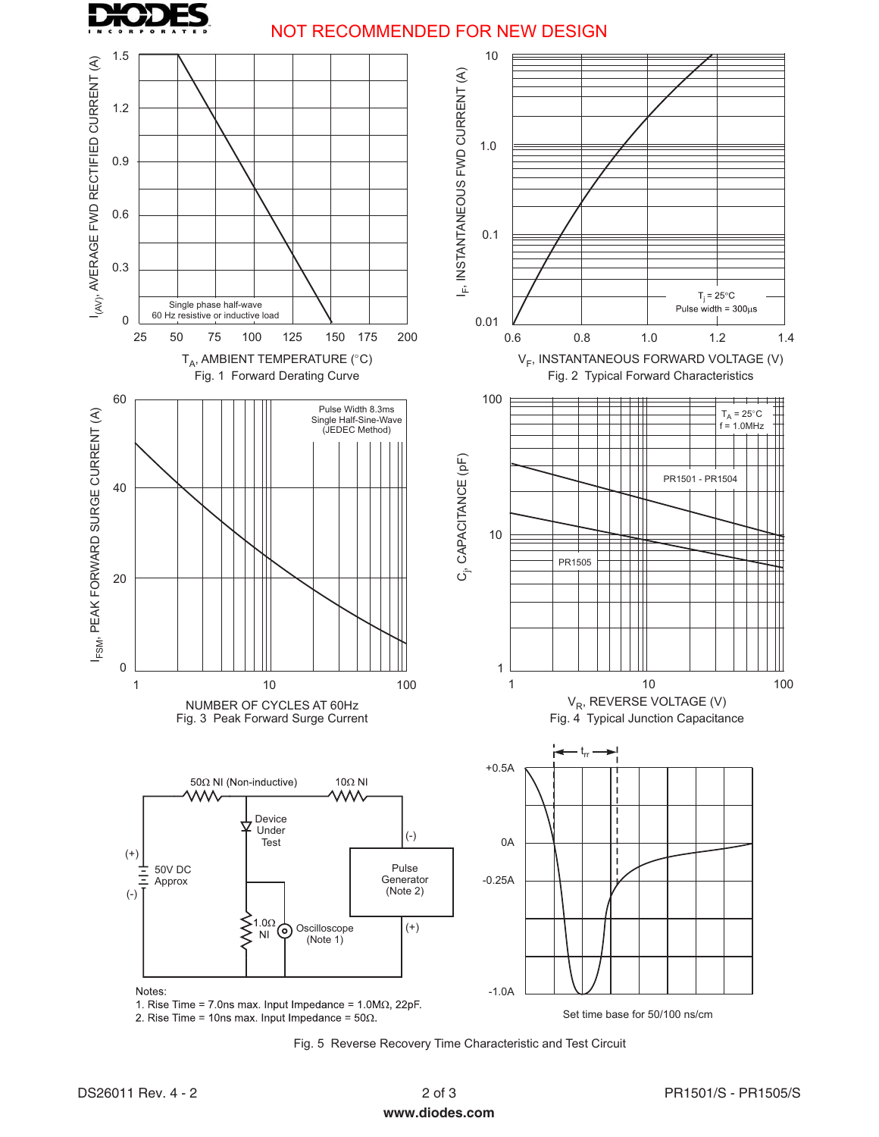

## NOT RECOMMENDED FOR NEW DESIGN



Fig. 5 Reverse Recovery Time Characteristic and Test Circuit